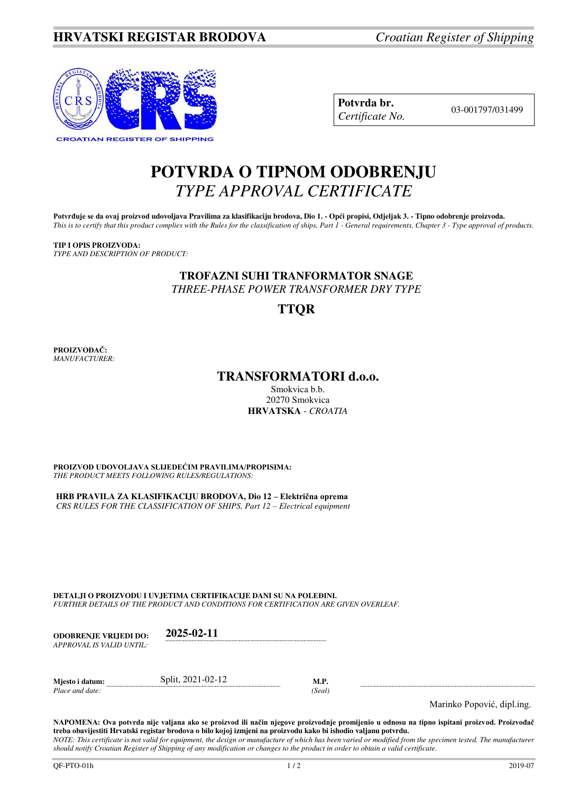

| Potvrda br.     |
|-----------------|
| Certificate No. |

03-001797/031499

# **POTVRDA O TIPNOM ODOBRENJU**  *TYPE APPROVAL CERTIFICATE*

Potvrđuje se da ovaj proizvod udovoljava Pravilima za klasifikaciju brodova, Dio 1. - Opći propisi, Odjeljak 3. - Tipno odobrenje proizvoda. *This is to certify that this product complies with the Rules for the classification of ships, Part 1 - General requirements, Chapter 3 - Type approval of products.* 

## **TIP I OPIS PROIZVODA:**

*TYPE AND DESCRIPTION OF PRODUCT:* 

# **TROFAZNI SUHI TRANFORMATOR SNAGE**

*THREE-PHASE POWER TRANSFORMER DRY TYPE* 

## **TTQR**

**PROIZVOĐAČ:** *MANUFACTURER:*

## **TRANSFORMATORI d.o.o.**

Smokvica b.b. 20270 Smokvica **HRVATSKA** - *CROATIA*

**PROIZVOD UDOVOLJAVA SLIJEDEĆIM PRAVILIMA/PROPISIMA:** *THE PRODUCT MEETS FOLLOWING RULES/REGULATIONS:* 

**HRB PRAVILA ZA KLASIFIKACIJU BRODOVA, Dio 12 – Električna oprema** *CRS RULES FOR THE CLASSIFICATION OF SHIPS, Part 12 – Electrical equipment* 

**DETALJI O PROIZVODU I UVJETIMA CERTIFIKACIJE DANI SU NA POLEĐINI.**  *FURTHER DETAILS OF THE PRODUCT AND CONDITIONS FOR CERTIFICATION ARE GIVEN OVERLEAF.* 

| <b>ODOBRENJE VRLJEDI DO:</b><br>APPROVAL IS VALID UNTIL: | 2025-02-11        |                |                            |
|----------------------------------------------------------|-------------------|----------------|----------------------------|
| Mjesto i datum:<br>Place and date:                       | Split, 2021-02-12 | M.P.<br>(Seal) | Marinko Popović, dipl.ing. |

**NAPOMENA: Ova potvrda nije valjana ako se proizvod ili način njegove proizvodnje promijenio u odnosu na tipno ispitani proizvod. Proizvođač treba obavijestiti Hrvatski registar brodova o bilo kojoj izmjeni na proizvodu kako bi ishodio valjanu potvrdu.** 

*NOTE: This certificate is not valid for equipment, the design or manufacture of which has been varied or modified from the specimen tested. The manufacturer should notify Croatian Register of Shipping of any modification or changes to the product in order to obtain a valid certificate.*